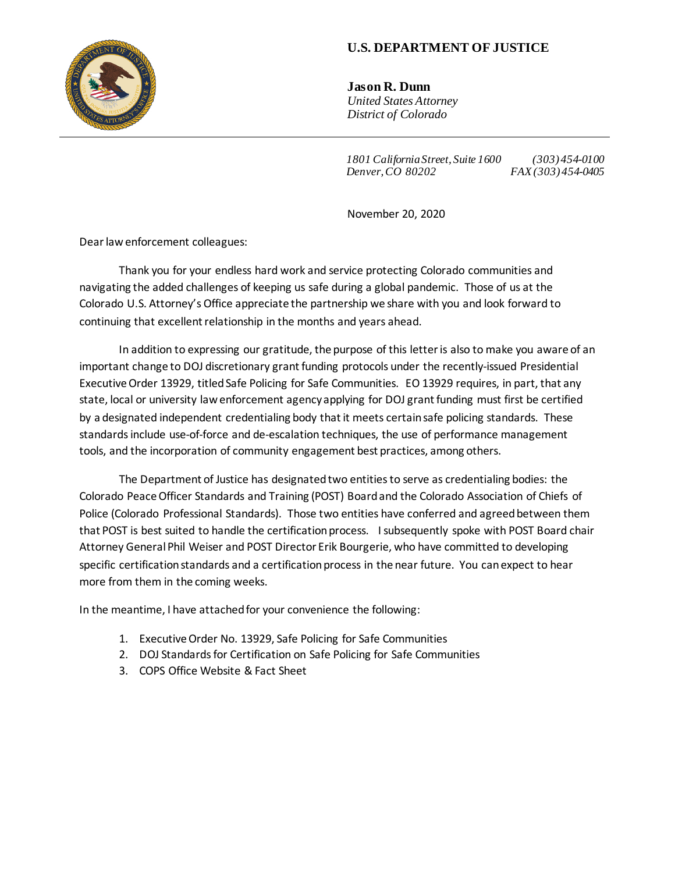

## **U.S. DEPARTMENT OF JUSTICE**

**Jason R. Dunn** *United States Attorney District of Colorado*

*1801 California Street, Suite 1600 (303) 454-0100 Denver, CO 80202 FAX (303) 454-0405*

November 20, 2020

Dear law enforcement colleagues:

Thank you for your endless hard work and service protecting Colorado communities and navigating the added challenges of keeping us safe during a global pandemic. Those of us at the Colorado U.S. Attorney's Office appreciate the partnership we share with you and look forward to continuing that excellent relationship in the months and years ahead.

In addition to expressing our gratitude, the purpose of this letter is also to make you aware of an important change to DOJ discretionary grant funding protocols under the recently-issued Presidential Executive Order 13929, titled Safe Policing for Safe Communities. EO 13929 requires, in part, that any state, local or university law enforcement agency applying for DOJ grant funding must first be certified by a designated independent credentialing body that it meets certain safe policing standards. These standards include use-of-force and de-escalation techniques, the use of performance management tools, and the incorporation of community engagement best practices, among others.

The Department of Justice has designated two entities to serve as credentialing bodies: the Colorado Peace Officer Standards and Training (POST) Board and the Colorado Association of Chiefs of Police (Colorado Professional Standards). Those two entities have conferred and agreed between them that POST is best suited to handle the certification process. I subsequently spoke with POST Board chair Attorney General Phil Weiser and POST Director Erik Bourgerie, who have committed to developing specific certification standards and a certification process in the near future. You can expect to hear more from them in the coming weeks.

In the meantime, I have attached for your convenience the following:

- 1. Executive Order No. 13929, Safe Policing for Safe Communities
- 2. DOJ Standards for Certification on Safe Policing for Safe Communities
- 3. COPS Office Website & Fact Sheet